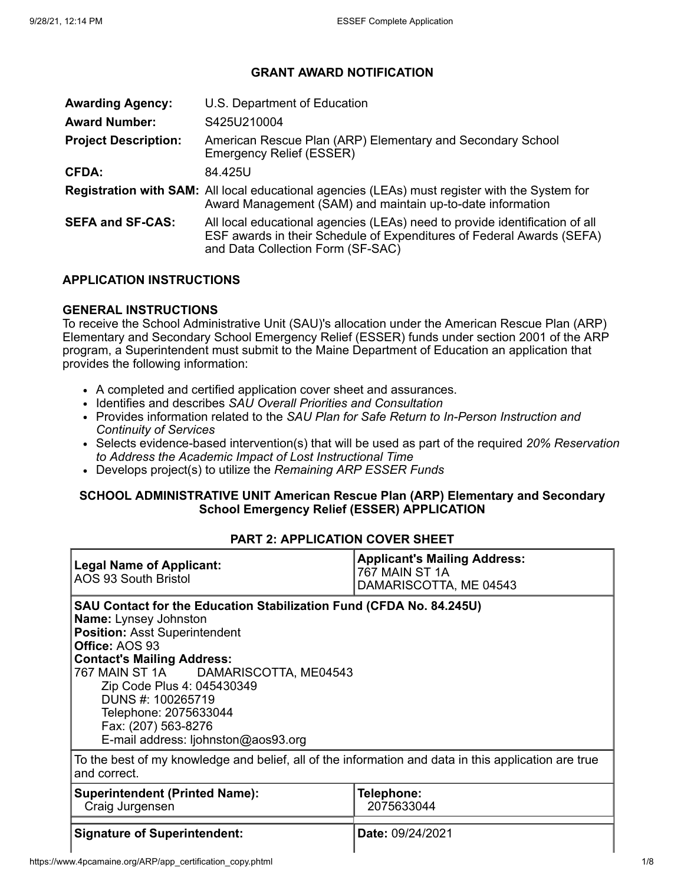## **GRANT AWARD NOTIFICATION**

| <b>Awarding Agency:</b>     | U.S. Department of Education                                                                                                                                                              |
|-----------------------------|-------------------------------------------------------------------------------------------------------------------------------------------------------------------------------------------|
| <b>Award Number:</b>        | S425U210004                                                                                                                                                                               |
| <b>Project Description:</b> | American Rescue Plan (ARP) Elementary and Secondary School<br>Emergency Relief (ESSER)                                                                                                    |
| <b>CFDA:</b>                | 84.425U                                                                                                                                                                                   |
|                             | Registration with SAM: All local educational agencies (LEAs) must register with the System for<br>Award Management (SAM) and maintain up-to-date information                              |
| <b>SEFA and SF-CAS:</b>     | All local educational agencies (LEAs) need to provide identification of all<br>ESF awards in their Schedule of Expenditures of Federal Awards (SEFA)<br>and Data Collection Form (SF-SAC) |

#### **APPLICATION INSTRUCTIONS**

#### **GENERAL INSTRUCTIONS**

To receive the School Administrative Unit (SAU)'s allocation under the American Rescue Plan (ARP) Elementary and Secondary School Emergency Relief (ESSER) funds under section 2001 of the ARP program, a Superintendent must submit to the Maine Department of Education an application that provides the following information:

- A completed and certified application cover sheet and assurances.
- Identifies and describes *SAU Overall Priorities and Consultation*
- Provides information related to the *SAU Plan for Safe Return to In-Person Instruction and Continuity of Services*
- Selects evidence-based intervention(s) that will be used as part of the required *20% Reservation to Address the Academic Impact of Lost Instructional Time*
- Develops project(s) to utilize the *Remaining ARP ESSER Funds*

#### **SCHOOL ADMINISTRATIVE UNIT American Rescue Plan (ARP) Elementary and Secondary School Emergency Relief (ESSER) APPLICATION**

## **PART 2: APPLICATION COVER SHEET**

| <b>Legal Name of Applicant:</b><br>AOS 93 South Bristol                                                                                                                                                                                                                                                                                                                              | <b>Applicant's Mailing Address:</b><br>767 MAIN ST 1A<br>DAMARISCOTTA, ME 04543 |  |  |  |
|--------------------------------------------------------------------------------------------------------------------------------------------------------------------------------------------------------------------------------------------------------------------------------------------------------------------------------------------------------------------------------------|---------------------------------------------------------------------------------|--|--|--|
| SAU Contact for the Education Stabilization Fund (CFDA No. 84.245U)<br><b>Name:</b> Lynsey Johnston<br><b>Position: Asst Superintendent</b><br>Office: AOS 93<br><b>Contact's Mailing Address:</b><br>767 MAIN ST 1A DAMARISCOTTA, ME04543<br>Zip Code Plus 4: 045430349<br>DUNS #: 100265719<br>Telephone: 2075633044<br>Fax: (207) 563-8276<br>E-mail address: ljohnston@aos93.org |                                                                                 |  |  |  |
| To the best of my knowledge and belief, all of the information and data in this application are true<br>and correct.                                                                                                                                                                                                                                                                 |                                                                                 |  |  |  |
| <b>Superintendent (Printed Name):</b><br>Telephone:<br>Craig Jurgensen<br>2075633044                                                                                                                                                                                                                                                                                                 |                                                                                 |  |  |  |
| <b>Signature of Superintendent:</b>                                                                                                                                                                                                                                                                                                                                                  | Date: 09/24/2021                                                                |  |  |  |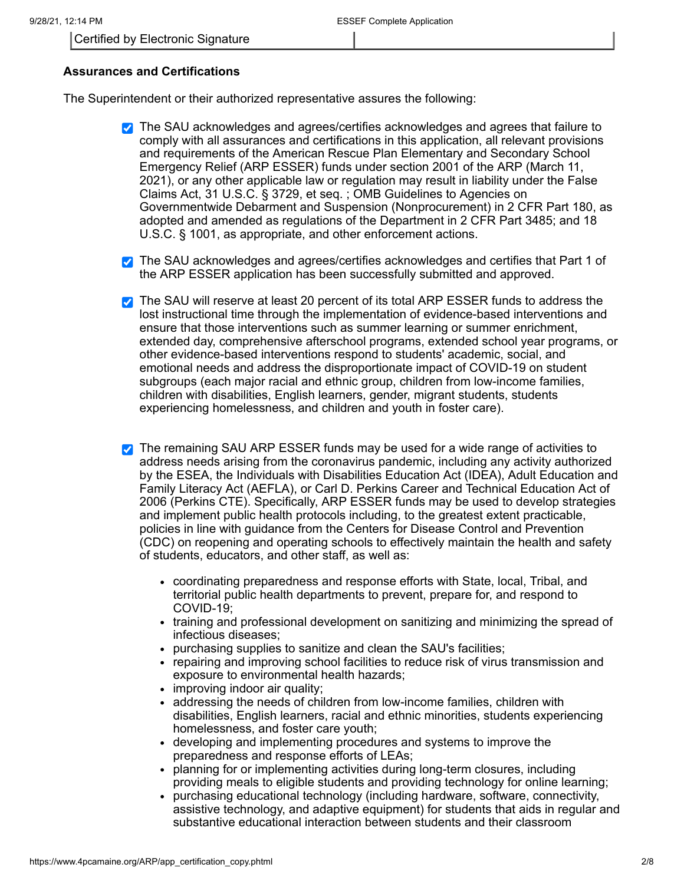## **Assurances and Certifications**

The Superintendent or their authorized representative assures the following:

- **The SAU acknowledges and agrees/certifies acknowledges and agrees that failure to** comply with all assurances and certifications in this application, all relevant provisions and requirements of the American Rescue Plan Elementary and Secondary School Emergency Relief (ARP ESSER) funds under section 2001 of the ARP (March 11, 2021), or any other applicable law or regulation may result in liability under the False Claims Act, 31 U.S.C. § 3729, et seq. ; OMB Guidelines to Agencies on Governmentwide Debarment and Suspension (Nonprocurement) in 2 CFR Part 180, as adopted and amended as regulations of the Department in 2 CFR Part 3485; and 18 U.S.C. § 1001, as appropriate, and other enforcement actions.
- The SAU acknowledges and agrees/certifies acknowledges and certifies that Part 1 of the ARP ESSER application has been successfully submitted and approved.
- The SAU will reserve at least 20 percent of its total ARP ESSER funds to address the lost instructional time through the implementation of evidence-based interventions and ensure that those interventions such as summer learning or summer enrichment, extended day, comprehensive afterschool programs, extended school year programs, or other evidence-based interventions respond to students' academic, social, and emotional needs and address the disproportionate impact of COVID-19 on student subgroups (each major racial and ethnic group, children from low-income families, children with disabilities, English learners, gender, migrant students, students experiencing homelessness, and children and youth in foster care).
- The remaining SAU ARP ESSER funds may be used for a wide range of activities to address needs arising from the coronavirus pandemic, including any activity authorized by the ESEA, the Individuals with Disabilities Education Act (IDEA), Adult Education and Family Literacy Act (AEFLA), or Carl D. Perkins Career and Technical Education Act of 2006 (Perkins CTE). Specifically, ARP ESSER funds may be used to develop strategies and implement public health protocols including, to the greatest extent practicable, policies in line with guidance from the Centers for Disease Control and Prevention (CDC) on reopening and operating schools to effectively maintain the health and safety of students, educators, and other staff, as well as:
	- coordinating preparedness and response efforts with State, local, Tribal, and territorial public health departments to prevent, prepare for, and respond to COVID-19;
	- training and professional development on sanitizing and minimizing the spread of infectious diseases;
	- purchasing supplies to sanitize and clean the SAU's facilities;
	- repairing and improving school facilities to reduce risk of virus transmission and exposure to environmental health hazards;
	- improving indoor air quality;
	- addressing the needs of children from low-income families, children with  $\bullet$ disabilities, English learners, racial and ethnic minorities, students experiencing homelessness, and foster care youth;
	- developing and implementing procedures and systems to improve the preparedness and response efforts of LEAs;
	- planning for or implementing activities during long-term closures, including providing meals to eligible students and providing technology for online learning;
	- purchasing educational technology (including hardware, software, connectivity,  $\bullet$ assistive technology, and adaptive equipment) for students that aids in regular and substantive educational interaction between students and their classroom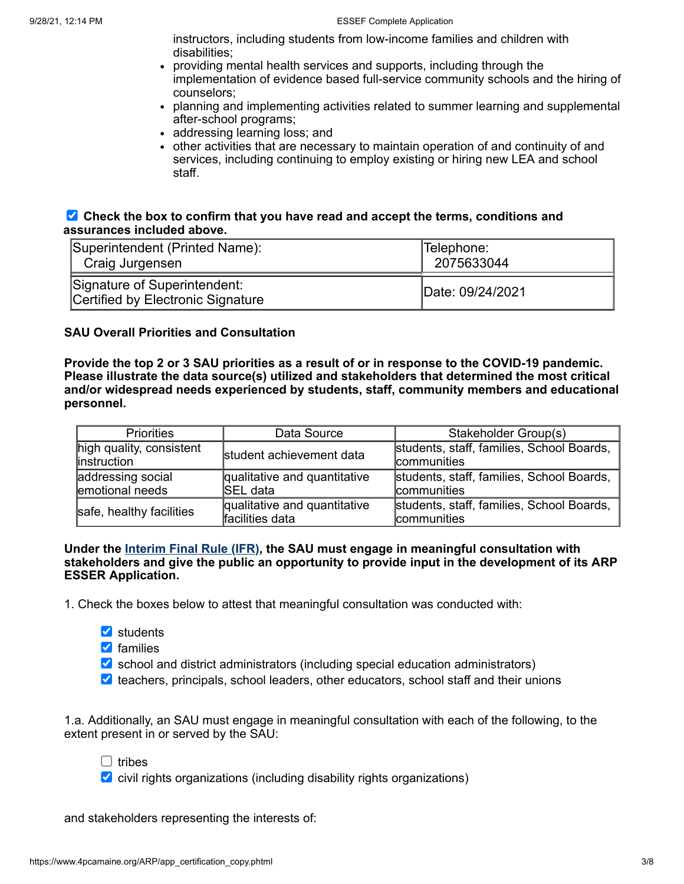instructors, including students from low-income families and children with disabilities;

- providing mental health services and supports, including through the implementation of evidence based full-service community schools and the hiring of counselors;
- planning and implementing activities related to summer learning and supplemental after-school programs;
- addressing learning loss; and
- other activities that are necessary to maintain operation of and continuity of and services, including continuing to employ existing or hiring new LEA and school staff.

## **Check the box to confirm that you have read and accept the terms, conditions and assurances included above.**

| Superintendent (Printed Name):                                    | Telephone:       |  |
|-------------------------------------------------------------------|------------------|--|
| Craig Jurgensen                                                   | 2075633044       |  |
| Signature of Superintendent:<br>Certified by Electronic Signature | Date: 09/24/2021 |  |

## **SAU Overall Priorities and Consultation**

Provide the top 2 or 3 SAU priorities as a result of or in response to the COVID-19 pandemic. **Please illustrate the data source(s) utilized and stakeholders that determined the most critical and/or widespread needs experienced by students, staff, community members and educational personnel.**

| Data Source<br><b>Priorities</b>         |                                                 | Stakeholder Group(s)                                            |  |  |
|------------------------------------------|-------------------------------------------------|-----------------------------------------------------------------|--|--|
| high quality, consistent<br>linstruction | student achievement data                        | students, staff, families, School Boards,<br>communities        |  |  |
| addressing social<br>emotional needs     | qualitative and quantitative<br>lSEL data       | students, staff, families, School Boards,<br><b>communities</b> |  |  |
| safe, healthy facilities                 | qualitative and quantitative<br>facilities data | students, staff, families, School Boards,<br>communities        |  |  |

#### **Under the [Interim](https://www.federalregister.gov/documents/2021/04/22/2021-08359/american-rescue-plan-act-elementary-and-secondary-school-emergency-relief-fund#p-52) Final Rule (IFR), the SAU must engage in meaningful consultation with stakeholders and give the public an opportunity to provide input in the development of its ARP ESSER Application.**

1. Check the boxes below to attest that meaningful consultation was conducted with:

- **v** students
- **v** families
- $\blacktriangleright$  school and district administrators (including special education administrators)
- $\vee$  teachers, principals, school leaders, other educators, school staff and their unions

1.a. Additionally, an SAU must engage in meaningful consultation with each of the following, to the extent present in or served by the SAU:

 $\Box$  tribes

 $\triangledown$  civil rights organizations (including disability rights organizations)

and stakeholders representing the interests of: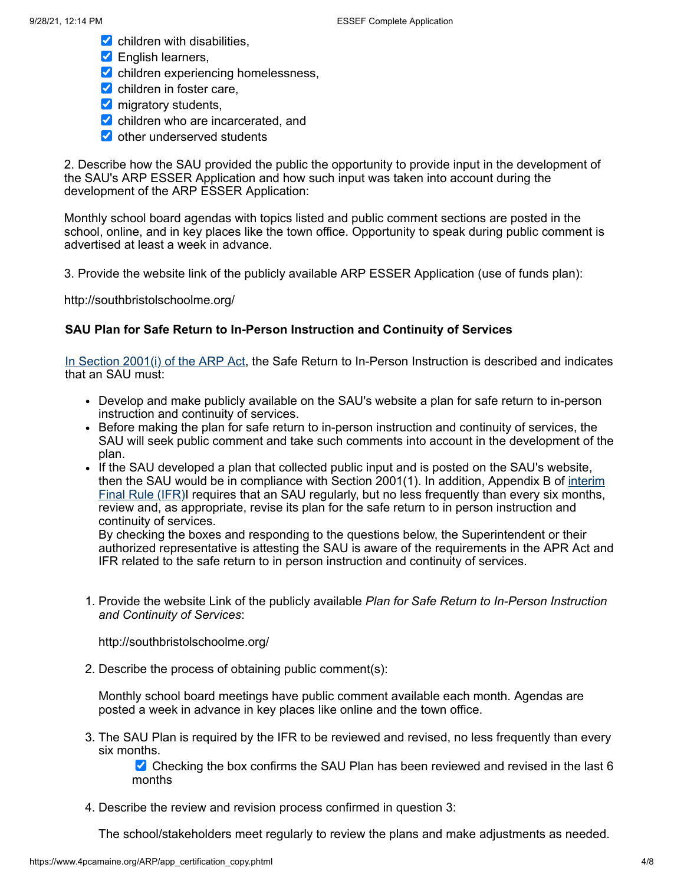- $\blacktriangleright$  children with disabilities,
- **Z** English learners,
- $\blacktriangleright$  children experiencing homelessness,
- $\triangleright$  children in foster care,
- **M** migratory students,
- children who are incarcerated, and
- other underserved students

2. Describe how the SAU provided the public the opportunity to provide input in the development of the SAU's ARP ESSER Application and how such input was taken into account during the development of the ARP ESSER Application:

Monthly school board agendas with topics listed and public comment sections are posted in the school, online, and in key places like the town office. Opportunity to speak during public comment is advertised at least a week in advance.

3. Provide the website link of the publicly available ARP ESSER Application (use of funds plan):

http://southbristolschoolme.org/

#### **SAU Plan for Safe Return to In-Person Instruction and Continuity of Services**

In [Section](https://www.congress.gov/bill/117th-congress/house-bill/1319/text#H750E36BDE0EB41249B8BE928436D6048) 2001(i) of the ARP Act, the Safe Return to In-Person Instruction is described and indicates that an SAU must:

- Develop and make publicly available on the SAU's website a plan for safe return to in-person instruction and continuity of services.
- Before making the plan for safe return to in-person instruction and continuity of services, the SAU will seek public comment and take such comments into account in the development of the plan.
- If the SAU developed a plan that collected public input and is posted on the SAU's website, then the SAU would be in [compliance](https://www.federalregister.gov/documents/2021/04/22/2021-08359/american-rescue-plan-act-elementary-and-secondary-school-emergency-relief-fund) with Section 2001(1). In addition, Appendix B of interim Final Rule (IFR)I requires that an SAU regularly, but no less frequently than every six months, review and, as appropriate, revise its plan for the safe return to in person instruction and continuity of services.

By checking the boxes and responding to the questions below, the Superintendent or their authorized representative is attesting the SAU is aware of the requirements in the APR Act and IFR related to the safe return to in person instruction and continuity of services.

1. Provide the website Link of the publicly available *Plan for Safe Return to In-Person Instruction and Continuity of Services*:

http://southbristolschoolme.org/

2. Describe the process of obtaining public comment(s):

Monthly school board meetings have public comment available each month. Agendas are posted a week in advance in key places like online and the town office.

3. The SAU Plan is required by the IFR to be reviewed and revised, no less frequently than every six months.

Checking the box confirms the SAU Plan has been reviewed and revised in the last  $6$ months

4. Describe the review and revision process confirmed in question 3:

The school/stakeholders meet regularly to review the plans and make adjustments as needed.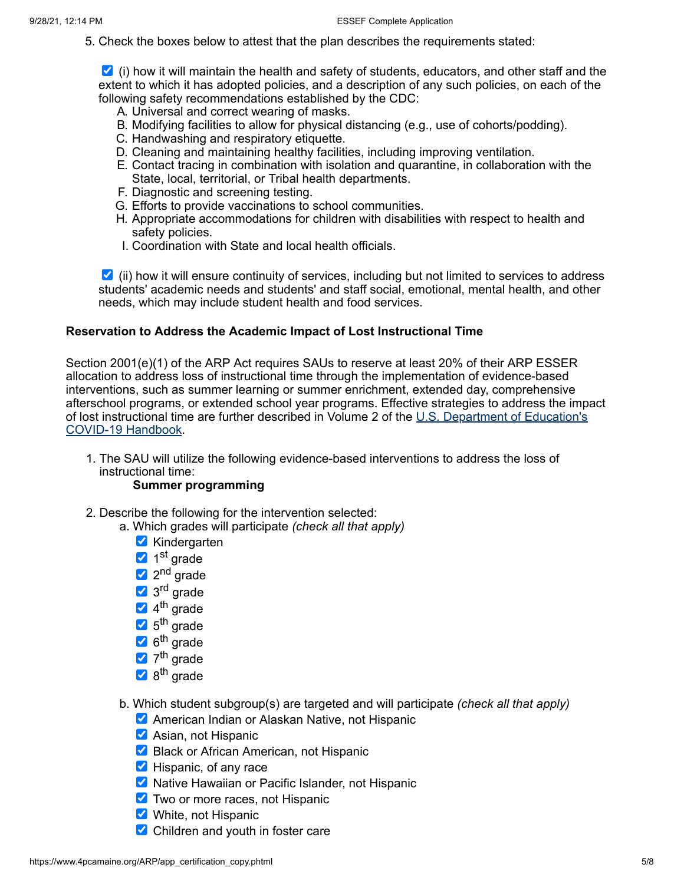5. Check the boxes below to attest that the plan describes the requirements stated:

 $\blacktriangleright$  (i) how it will maintain the health and safety of students, educators, and other staff and the extent to which it has adopted policies, and a description of any such policies, on each of the following safety recommendations established by the CDC:

- A. Universal and correct wearing of masks.
- B. Modifying facilities to allow for physical distancing (e.g., use of cohorts/podding).
- C. Handwashing and respiratory etiquette.
- D. Cleaning and maintaining healthy facilities, including improving ventilation.
- E. Contact tracing in combination with isolation and quarantine, in collaboration with the State, local, territorial, or Tribal health departments.
- F. Diagnostic and screening testing.
- G. Efforts to provide vaccinations to school communities.
- H. Appropriate accommodations for children with disabilities with respect to health and safety policies.
- I. Coordination with State and local health officials.

 $\blacksquare$  (ii) how it will ensure continuity of services, including but not limited to services to address students' academic needs and students' and staff social, emotional, mental health, and other needs, which may include student health and food services.

#### **Reservation to Address the Academic Impact of Lost Instructional Time**

Section 2001(e)(1) of the ARP Act requires SAUs to reserve at least 20% of their ARP ESSER allocation to address loss of instructional time through the implementation of evidence-based interventions, such as summer learning or summer enrichment, extended day, comprehensive afterschool programs, or extended school year programs. Effective strategies to address the impact of lost [instructional](https://www2.ed.gov/documents/coronavirus/reopening-2.pdf) time are further described in Volume 2 of the U.S. Department of Education's COVID-19 Handbook.

1. The SAU will utilize the following evidence-based interventions to address the loss of instructional time:

### **Summer programming**

- 2. Describe the following for the intervention selected:
	- a. Which grades will participate *(check all that apply)*
		- **V** Kindergarten
		- 1<sup>st</sup> grade
		- 2<sup>nd</sup> grade
		- 3<sup>rd</sup> grade
		- 4<sup>th</sup> grade
		- 5<sup>th</sup> grade
		- 6<sup>th</sup> grade
		- 7<sup>th</sup> grade
		- 8<sup>th</sup> grade
	- b. Which student subgroup(s) are targeted and will participate *(check all that apply)*
		- **American Indian or Alaskan Native, not Hispanic**
		- $\blacktriangleright$  Asian, not Hispanic
		- Black or African American, not Hispanic
		- $\blacktriangleright$  Hispanic, of any race
		- **X** Native Hawaiian or Pacific Islander, not Hispanic
		- **Two or more races, not Hispanic**
		- White, not Hispanic
		- $\triangleright$  Children and youth in foster care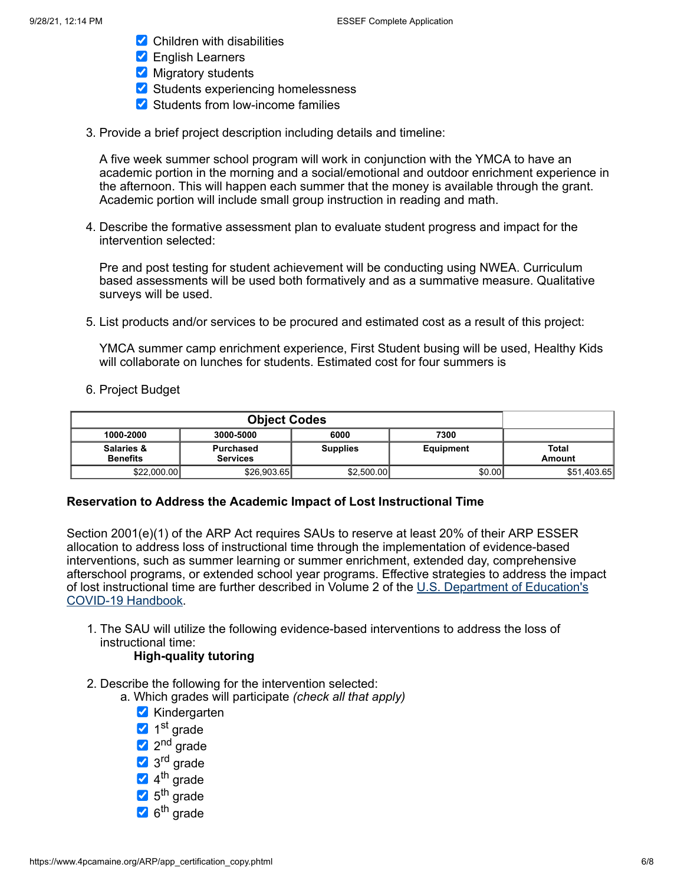- $\triangleright$  Children with disabilities
- **Z** English Learners
- Migratory students
- $\blacktriangleright$  Students experiencing homelessness
- Students from low-income families
- 3. Provide a brief project description including details and timeline:

A five week summer school program will work in conjunction with the YMCA to have an academic portion in the morning and a social/emotional and outdoor enrichment experience in the afternoon. This will happen each summer that the money is available through the grant. Academic portion will include small group instruction in reading and math.

4. Describe the formative assessment plan to evaluate student progress and impact for the intervention selected:

Pre and post testing for student achievement will be conducting using NWEA. Curriculum based assessments will be used both formatively and as a summative measure. Qualitative surveys will be used.

5. List products and/or services to be procured and estimated cost as a result of this project:

YMCA summer camp enrichment experience, First Student busing will be used, Healthy Kids will collaborate on lunches for students. Estimated cost for four summers is

6. Project Budget

| <b>Object Codes</b>           |                                     |                 |           |                        |
|-------------------------------|-------------------------------------|-----------------|-----------|------------------------|
| 1000-2000                     | 6000<br>7300<br>3000-5000           |                 |           |                        |
| Salaries &<br><b>Benefits</b> | <b>Purchased</b><br><b>Services</b> | <b>Supplies</b> | Equipment | <b>Total</b><br>Amount |
| \$22,000.00                   | \$26,903.65                         | \$2,500.00      | \$0.00    | \$51,403.65            |

#### **Reservation to Address the Academic Impact of Lost Instructional Time**

Section 2001(e)(1) of the ARP Act requires SAUs to reserve at least 20% of their ARP ESSER allocation to address loss of instructional time through the implementation of evidence-based interventions, such as summer learning or summer enrichment, extended day, comprehensive afterschool programs, or extended school year programs. Effective strategies to address the impact of lost [instructional](https://www2.ed.gov/documents/coronavirus/reopening-2.pdf) time are further described in Volume 2 of the U.S. Department of Education's COVID-19 Handbook.

1. The SAU will utilize the following evidence-based interventions to address the loss of instructional time:

## **High-quality tutoring**

- 2. Describe the following for the intervention selected:
	- a. Which grades will participate *(check all that apply)*
		- **Kindergarten**
		- 1<sup>st</sup> grade
		- 2<sup>nd</sup> grade
		- 3<sup>rd</sup> grade
		- 4<sup>th</sup> grade
		- 5<sup>th</sup> grade
		- 6<sup>th</sup> grade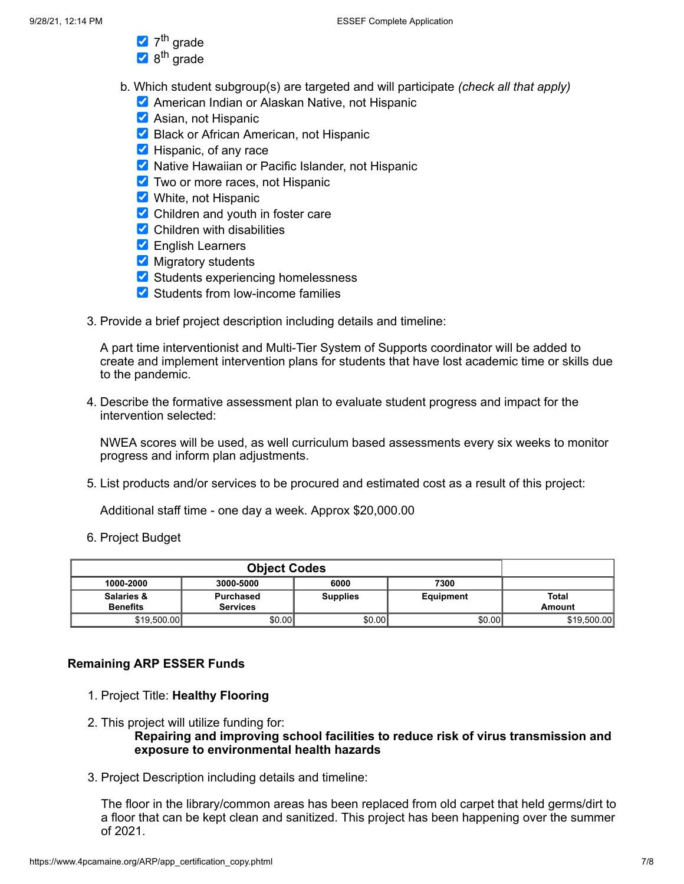- 7<sup>th</sup> grade
- 8<sup>th</sup> grade
- b. Which student subgroup(s) are targeted and will participate *(check all that apply)*
	- **American Indian or Alaskan Native, not Hispanic**
	- **Asian, not Hispanic**
	- Black or African American, not Hispanic
	- **Hispanic, of any race**
	- **X** Native Hawaiian or Pacific Islander, not Hispanic
	- **Two or more races, not Hispanic**
	- White, not Hispanic
	- Children and youth in foster care
	- $\triangleright$  Children with disabilities
	- **Z** English Learners
	- $\blacksquare$  Migratory students
	- Students experiencing homelessness
	- Students from low-income families
- 3. Provide a brief project description including details and timeline:

A part time interventionist and Multi-Tier System of Supports coordinator will be added to create and implement intervention plans for students that have lost academic time or skills due to the pandemic.

4. Describe the formative assessment plan to evaluate student progress and impact for the intervention selected:

NWEA scores will be used, as well curriculum based assessments every six weeks to monitor progress and inform plan adjustments.

5. List products and/or services to be procured and estimated cost as a result of this project:

Additional staff time - one day a week. Approx \$20,000.00

6. Project Budget

| <b>Object Codes</b>           |                              |                 |           |                        |
|-------------------------------|------------------------------|-----------------|-----------|------------------------|
| 1000-2000                     | 6000<br>7300<br>3000-5000    |                 |           |                        |
| Salaries &<br><b>Benefits</b> | Purchased<br><b>Services</b> | <b>Supplies</b> | Equipment | <b>Total</b><br>Amount |
| \$19,500.00                   | \$0.00                       | \$0.00          | \$0.00    | \$19,500.00            |

#### **Remaining ARP ESSER Funds**

- 1. Project Title: **Healthy Flooring**
- 2. This project will utilize funding for: **Repairing and improving school facilities to reduce risk of virus transmission and exposure to environmental health hazards**
- 3. Project Description including details and timeline:

The floor in the library/common areas has been replaced from old carpet that held germs/dirt to a floor that can be kept clean and sanitized. This project has been happening over the summer of 2021.